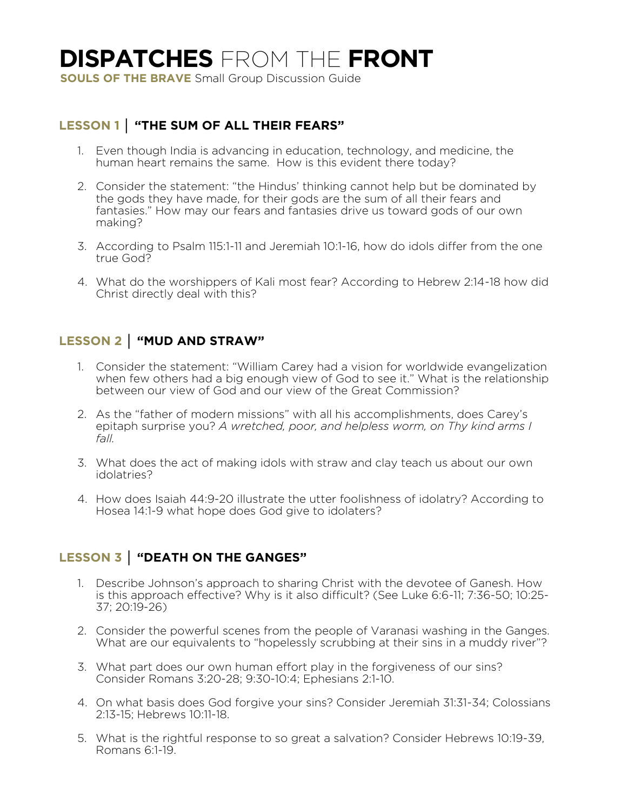# **DISPATCHES** FROM THE **FRONT**

**SOULS OF THE BRAVE** Small Group Discussion Guide

#### **LESSON 1 │ "THE SUM OF ALL THEIR FEARS"**

- 1. Even though India is advancing in education, technology, and medicine, the human heart remains the same. How is this evident there today?
- 2. Consider the statement: "the Hindus' thinking cannot help but be dominated by the gods they have made, for their gods are the sum of all their fears and fantasies." How may our fears and fantasies drive us toward gods of our own making?
- 3. According to Psalm 115:1-11 and Jeremiah 10:1-16, how do idols differ from the one true God?
- 4. What do the worshippers of Kali most fear? According to Hebrew 2:14-18 how did Christ directly deal with this?

## **LESSON 2 │ "MUD AND STRAW"**

- 1. Consider the statement: "William Carey had a vision for worldwide evangelization when few others had a big enough view of God to see it." What is the relationship between our view of God and our view of the Great Commission?
- 2. As the "father of modern missions" with all his accomplishments, does Carey's epitaph surprise you? *A wretched, poor, and helpless worm, on Thy kind arms I fall.*
- 3. What does the act of making idols with straw and clay teach us about our own idolatries?
- 4. How does Isaiah 44:9-20 illustrate the utter foolishness of idolatry? According to Hosea 14:1-9 what hope does God give to idolaters?

### **LESSON 3 │ "DEATH ON THE GANGES"**

- 1. Describe Johnson's approach to sharing Christ with the devotee of Ganesh. How is this approach effective? Why is it also difficult? (See Luke 6:6-11; 7:36-50; 10:25- 37; 20:19-26)
- 2. Consider the powerful scenes from the people of Varanasi washing in the Ganges. What are our equivalents to "hopelessly scrubbing at their sins in a muddy river"?
- 3. What part does our own human effort play in the forgiveness of our sins? Consider Romans 3:20-28; 9:30-10:4; Ephesians 2:1-10.
- 4. On what basis does God forgive your sins? Consider Jeremiah 31:31-34; Colossians 2:13-15; Hebrews 10:11-18.
- 5. What is the rightful response to so great a salvation? Consider Hebrews 10:19-39, Romans 6:1-19.